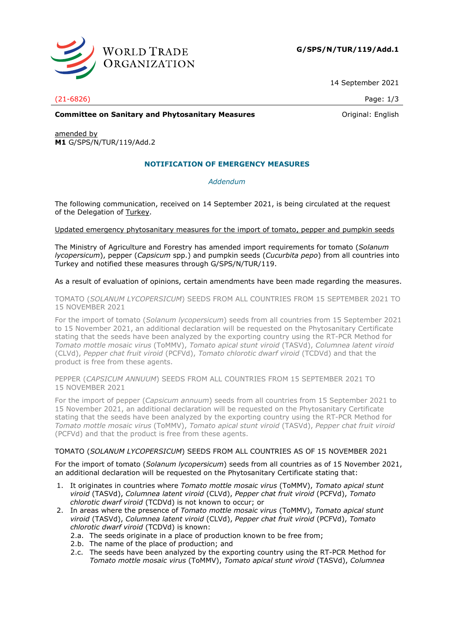

**G/SPS/N/TUR/119/Add.1**

14 September 2021

# (21-6826) Page: 1/3

### **Committee on Sanitary and Phytosanitary Measures Committee on Sanitary and Phytosanitary Measures Original: English**

amended by **M1** G/SPS/N/TUR/119/Add.2

# **NOTIFICATION OF EMERGENCY MEASURES**

## *Addendum*

The following communication, received on 14 September 2021, is being circulated at the request of the Delegation of Turkey.

### Updated emergency phytosanitary measures for the import of tomato, pepper and pumpkin seeds

The Ministry of Agriculture and Forestry has amended import requirements for tomato (*Solanum lycopersicum*), pepper (*Capsicum* spp.) and pumpkin seeds (*Cucurbita pepo*) from all countries into Turkey and notified these measures through G/SPS/N/TUR/119.

### As a result of evaluation of opinions, certain amendments have been made regarding the measures.

TOMATO (*SOLANUM LYCOPERSICUM*) SEEDS FROM ALL COUNTRIES FROM 15 SEPTEMBER 2021 TO 15 NOVEMBER 2021

For the import of tomato (*Solanum lycopersicum*) seeds from all countries from 15 September 2021 to 15 November 2021, an additional declaration will be requested on the Phytosanitary Certificate stating that the seeds have been analyzed by the exporting country using the RT-PCR Method for *Tomato mottle mosaic virus* (ToMMV), *Tomato apical stunt viroid* (TASVd), *Columnea latent viroid* (CLVd), *Pepper chat fruit viroid* (PCFVd), *Tomato chlorotic dwarf viroid* (TCDVd) and that the product is free from these agents.

PEPPER (*CAPSICUM ANNUUM*) SEEDS FROM ALL COUNTRIES FROM 15 SEPTEMBER 2021 TO 15 NOVEMBER 2021

For the import of pepper (*Capsicum annuum*) seeds from all countries from 15 September 2021 to 15 November 2021, an additional declaration will be requested on the Phytosanitary Certificate stating that the seeds have been analyzed by the exporting country using the RT-PCR Method for *Tomato mottle mosaic virus* (ToMMV), *Tomato apical stunt viroid* (TASVd), *Pepper chat fruit viroid* (PCFVd) and that the product is free from these agents.

## TOMATO (*SOLANUM LYCOPERSICUM*) SEEDS FROM ALL COUNTRIES AS OF 15 NOVEMBER 2021

For the import of tomato (*Solanum lycopersicum*) seeds from all countries as of 15 November 2021, an additional declaration will be requested on the Phytosanitary Certificate stating that:

- 1. It originates in countries where *Tomato mottle mosaic virus* (ToMMV), *Tomato apical stunt viroid* (TASVd), *Columnea latent viroid* (CLVd), *Pepper chat fruit viroid* (PCFVd), *Tomato chlorotic dwarf viroid* (TCDVd) is not known to occur; or
- 2. In areas where the presence of *Tomato mottle mosaic virus* (ToMMV), *Tomato apical stunt viroid* (TASVd), *Columnea latent viroid* (CLVd), *Pepper chat fruit viroid* (PCFVd), *Tomato chlorotic dwarf viroid* (TCDVd) is known:
	- 2.a. The seeds originate in a place of production known to be free from;
	- 2.b. The name of the place of production; and
	- 2.c. The seeds have been analyzed by the exporting country using the RT-PCR Method for *Tomato mottle mosaic virus* (ToMMV), *Tomato apical stunt viroid* (TASVd), *Columnea*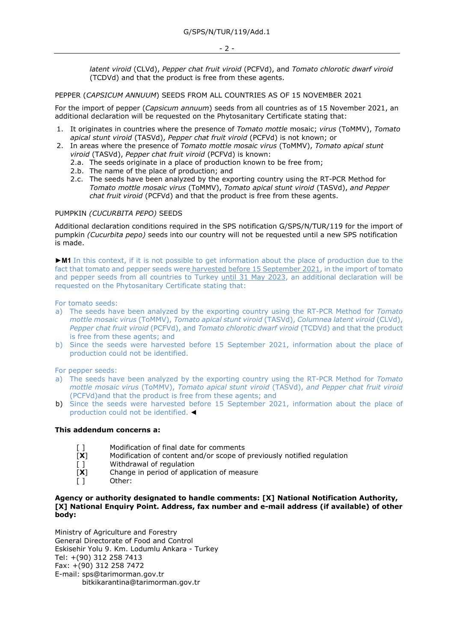*latent viroid* (CLVd), *Pepper chat fruit viroid* (PCFVd), and *Tomato chlorotic dwarf viroid* (TCDVd) and that the product is free from these agents.

### PEPPER (*CAPSICUM ANNUUM*) SEEDS FROM ALL COUNTRIES AS OF 15 NOVEMBER 2021

For the import of pepper (*Capsicum annuum*) seeds from all countries as of 15 November 2021, an additional declaration will be requested on the Phytosanitary Certificate stating that:

- 1. It originates in countries where the presence of *Tomato mottle* mosaic; *virus* (ToMMV), *Tomato apical stunt viroid* (TASVd), *Pepper chat fruit viroid* (PCFVd) is not known; or
- 2. In areas where the presence of *Tomato mottle mosaic virus* (ToMMV), *Tomato apical stunt viroid* (TASVd), *Pepper chat fruit viroid* (PCFVd) is known:
	- 2.a. The seeds originate in a place of production known to be free from;
	- 2.b. The name of the place of production; and
	- 2.c. The seeds have been analyzed by the exporting country using the RT-PCR Method for *Tomato mottle mosaic virus* (ToMMV), *Tomato apical stunt viroid* (TASVd), *and Pepper chat fruit viroid* (PCFVd) and that the product is free from these agents.

### PUMPKIN *(CUCURBITA PEPO)* SEEDS

Additional declaration conditions required in the SPS notification G/SPS/N/TUR/119 for the import of pumpkin *(Cucurbita pepo)* seeds into our country will not be requested until a new SPS notification is made.

►**M1** In this context, if it is not possible to get information about the place of production due to the fact that tomato and pepper seeds were harvested before 15 September 2021, in the import of tomato and pepper seeds from all countries to Turkey until 31 May 2023, an additional declaration will be requested on the Phytosanitary Certificate stating that:

For tomato seeds:

- a) The seeds have been analyzed by the exporting country using the RT-PCR Method for *Tomato mottle mosaic virus* (ToMMV), *Tomato apical stunt viroid* (TASVd), *Columnea latent viroid* (CLVd), *Pepper chat fruit viroid* (PCFVd), and *Tomato chlorotic dwarf viroid* (TCDVd) and that the product is free from these agents; and
- b) Since the seeds were harvested before 15 September 2021, information about the place of production could not be identified.

For pepper seeds:

- a) The seeds have been analyzed by the exporting country using the RT-PCR Method for *Tomato mottle mosaic virus* (ToMMV), *Tomato apical stunt viroid* (TASVd), *and Pepper chat fruit viroid* (PCFVd)and that the product is free from these agents; and
- b) Since the seeds were harvested before 15 September 2021, information about the place of production could not be identified. ◄

### **This addendum concerns a:**

- [] Modification of final date for comments
- [**X**] Modification of content and/or scope of previously notified regulation
- [ ] Withdrawal of regulation
- [**X**] Change in period of application of measure
- [ ] Other:

### **Agency or authority designated to handle comments: [X] National Notification Authority, [X] National Enquiry Point. Address, fax number and e-mail address (if available) of other body:**

Ministry of Agriculture and Forestry General Directorate of Food and Control Eskisehir Yolu 9. Km. Lodumlu Ankara - Turkey Tel: +(90) 312 258 7413 Fax: +(90) 312 258 7472 E-mail: sps@tarimorman.gov.tr bitkikarantina@tarimorman.gov.tr